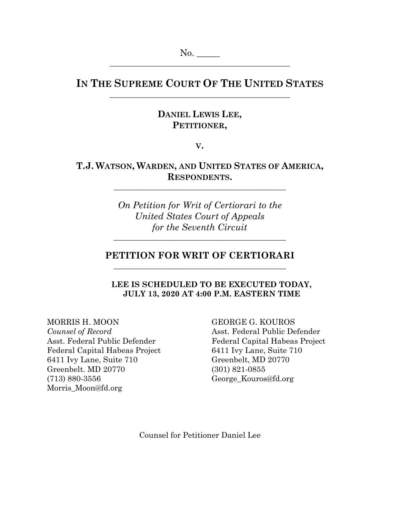# **IN THE SUPREME COURT OF THE UNITED STATES** \_\_\_\_\_\_\_\_\_\_\_\_\_\_\_\_\_\_\_\_\_\_\_\_\_\_\_\_\_\_\_\_\_\_\_\_\_\_\_\_\_\_\_\_\_\_

## **DANIEL LEWIS LEE, PETITIONER,**

**V.**

# **T.J. WATSON, WARDEN, AND UNITED STATES OF AMERICA, RESPONDENTS.**

\_\_\_\_\_\_\_\_\_\_\_\_\_\_\_\_\_\_\_\_\_\_\_\_\_\_\_\_\_\_\_\_\_\_\_\_\_\_\_\_\_\_\_\_

*On Petition for Writ of Certiorari to the United States Court of Appeals for the Seventh Circuit*

# **PETITION FOR WRIT OF CERTIORARI** \_\_\_\_\_\_\_\_\_\_\_\_\_\_\_\_\_\_\_\_\_\_\_\_\_\_\_\_\_\_\_\_\_\_\_\_\_\_\_\_\_\_\_\_

\_\_\_\_\_\_\_\_\_\_\_\_\_\_\_\_\_\_\_\_\_\_\_\_\_\_\_\_\_\_\_\_\_\_\_\_\_\_\_\_\_\_\_\_

**LEE IS SCHEDULED TO BE EXECUTED TODAY, JULY 13, 2020 AT 4:00 P.M. EASTERN TIME**

Federal Capital Habeas Project 6411 Ivy Lane, Suite 710 6411 Ivy Lane, Suite 710 Greenbelt, MD 20770 Greenbelt. MD 20770 (301) 821-0855 (713) 880-3556 George\_Kouros@fd.org Morris\_Moon@fd.org

MORRIS H. MOON GEORGE G. KOUROS *Counsel of Record* Asst. Federal Public Defender Asst. Federal Public Defender Federal Capital Habeas Project

Counsel for Petitioner Daniel Lee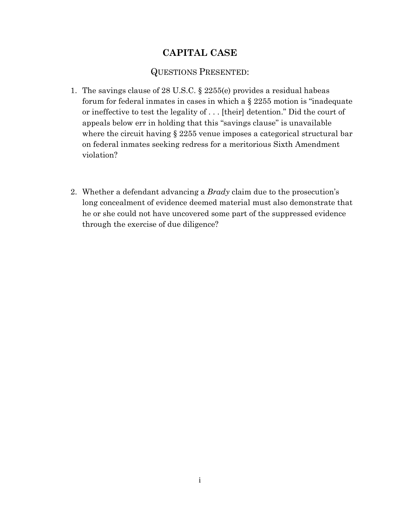# **CAPITAL CASE**

## QUESTIONS PRESENTED:

- 1. The savings clause of 28 U.S.C. § 2255(e) provides a residual habeas forum for federal inmates in cases in which a § 2255 motion is "inadequate or ineffective to test the legality of . . . [their] detention." Did the court of appeals below err in holding that this "savings clause" is unavailable where the circuit having § 2255 venue imposes a categorical structural bar on federal inmates seeking redress for a meritorious Sixth Amendment violation?
- 2. Whether a defendant advancing a *Brady* claim due to the prosecution's long concealment of evidence deemed material must also demonstrate that he or she could not have uncovered some part of the suppressed evidence through the exercise of due diligence?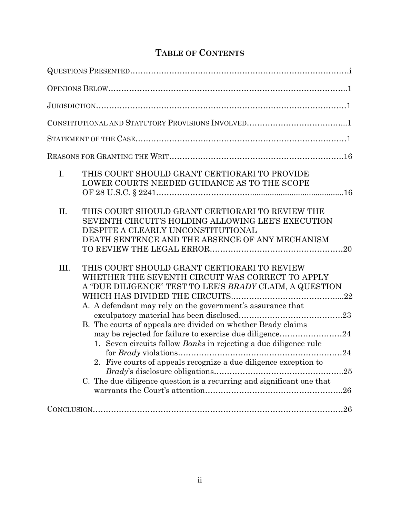# **TABLE OF CONTENTS**

| $\mathbf{I}$ .<br>THIS COURT SHOULD GRANT CERTIORARI TO PROVIDE<br>LOWER COURTS NEEDED GUIDANCE AS TO THE SCOPE                                                                                                                                                                                                                                                                                                                                                                                                                                                                                       |
|-------------------------------------------------------------------------------------------------------------------------------------------------------------------------------------------------------------------------------------------------------------------------------------------------------------------------------------------------------------------------------------------------------------------------------------------------------------------------------------------------------------------------------------------------------------------------------------------------------|
| THIS COURT SHOULD GRANT CERTIORARI TO REVIEW THE<br>II.<br>SEVENTH CIRCUIT'S HOLDING ALLOWING LEE'S EXECUTION<br>DESPITE A CLEARLY UNCONSTITUTIONAL<br>DEATH SENTENCE AND THE ABSENCE OF ANY MECHANISM                                                                                                                                                                                                                                                                                                                                                                                                |
| III.<br>THIS COURT SHOULD GRANT CERTIORARI TO REVIEW<br>WHETHER THE SEVENTH CIRCUIT WAS CORRECT TO APPLY<br>A "DUE DILIGENCE" TEST TO LEE'S BRADY CLAIM, A QUESTION<br>A. A defendant may rely on the government's assurance that<br>B. The courts of appeals are divided on whether Brady claims<br>may be rejected for failure to exercise due diligence24<br>1. Seven circuits follow <i>Banks</i> in rejecting a due diligence rule<br>2. Five courts of appeals recognize a due diligence exception to<br>25<br>C. The due diligence question is a recurring and significant one that<br>$.26\,$ |
| $\text{CONCLUSION}.\textcolor{red}{\textbf{126}} \text{136}$                                                                                                                                                                                                                                                                                                                                                                                                                                                                                                                                          |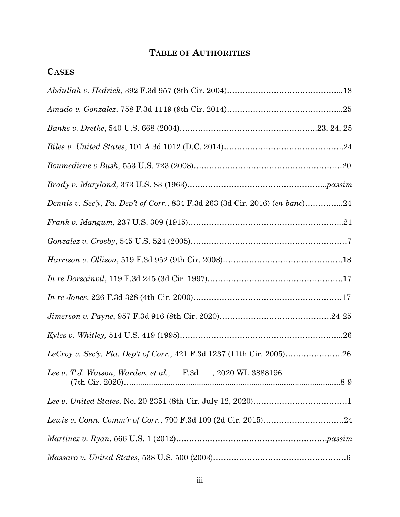# **TABLE OF AUTHORITIES**

| <b>CASES</b>                                                                 |  |
|------------------------------------------------------------------------------|--|
|                                                                              |  |
|                                                                              |  |
|                                                                              |  |
|                                                                              |  |
|                                                                              |  |
|                                                                              |  |
| Dennis v. Sec'y, Pa. Dep't of Corr., 834 F.3d 263 (3d Cir. 2016) (en banc)24 |  |
|                                                                              |  |
|                                                                              |  |
|                                                                              |  |
|                                                                              |  |
|                                                                              |  |
|                                                                              |  |
|                                                                              |  |
|                                                                              |  |
| Lee v. T.J. Watson, Warden, et al., _ F.3d __, 2020 WL 3888196               |  |
|                                                                              |  |
|                                                                              |  |
|                                                                              |  |
|                                                                              |  |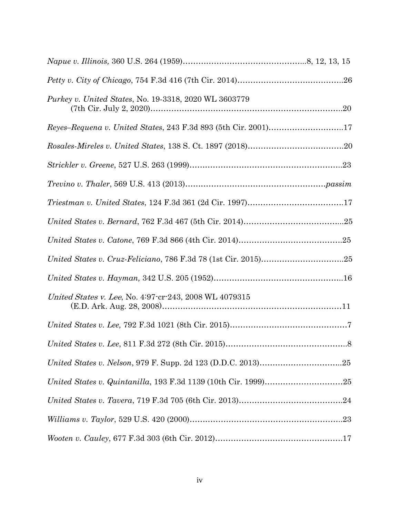| <i>Purkey v. United States, No. 19-3318, 2020 WL 3603779</i>    |  |
|-----------------------------------------------------------------|--|
| Reyes-Requena v. United States, 243 F.3d 893 (5th Cir. 2001)17  |  |
|                                                                 |  |
|                                                                 |  |
|                                                                 |  |
|                                                                 |  |
|                                                                 |  |
|                                                                 |  |
|                                                                 |  |
|                                                                 |  |
| United States v. Lee, No. 4:97-cr-243, 2008 WL 4079315          |  |
| $United\ States\ v.\ Lee,\ 792\ F.3d\ 1021\ (8th\ Cir.\ 2015)7$ |  |
|                                                                 |  |
|                                                                 |  |
|                                                                 |  |
|                                                                 |  |
|                                                                 |  |
|                                                                 |  |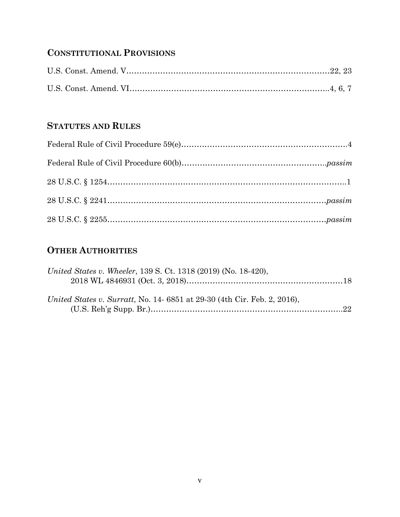# **CONSTITUTIONAL PROVISIONS**

# **STATUTES AND RULES**

# **OTHER AUTHORITIES**

| United States v. Wheeler, 139 S. Ct. 1318 (2019) (No. 18-420),          |  |
|-------------------------------------------------------------------------|--|
|                                                                         |  |
| United States v. Surratt, No. 14-6851 at 29-30 (4th Cir. Feb. 2, 2016), |  |
|                                                                         |  |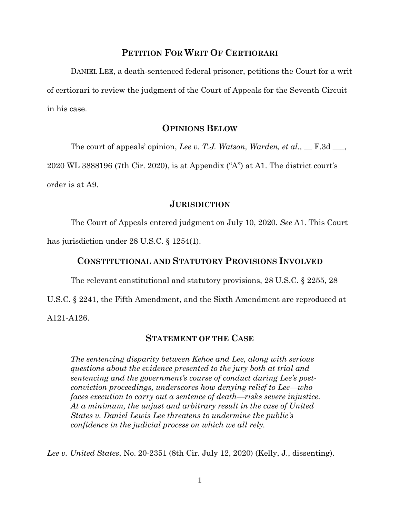#### **PETITION FOR WRIT OF CERTIORARI**

DANIEL LEE, a death-sentenced federal prisoner, petitions the Court for a writ of certiorari to review the judgment of the Court of Appeals for the Seventh Circuit in his case.

#### **OPINIONS BELOW**

The court of appeals' opinion, *Lee v. T.J. Watson, Warden, et al.*, <u>\_\_\_ F.3d</u> \_\_\_,

2020 WL 3888196 (7th Cir. 2020), is at Appendix ("A") at A1. The district court's

order is at A9.

#### **JURISDICTION**

The Court of Appeals entered judgment on July 10, 2020. *See* A1. This Court has jurisdiction under 28 U.S.C. § 1254(1).

#### **CONSTITUTIONAL AND STATUTORY PROVISIONS INVOLVED**

The relevant constitutional and statutory provisions, 28 U.S.C. § 2255, 28

U.S.C. § 2241, the Fifth Amendment, and the Sixth Amendment are reproduced at A121-A126.

#### **STATEMENT OF THE CASE**

*The sentencing disparity between Kehoe and Lee, along with serious questions about the evidence presented to the jury both at trial and sentencing and the government's course of conduct during Lee's postconviction proceedings, underscores how denying relief to Lee—who faces execution to carry out a sentence of death—risks severe injustice. At a minimum, the unjust and arbitrary result in the case of United States v. Daniel Lewis Lee threatens to undermine the public's confidence in the judicial process on which we all rely.*

*Lee v. United States*, No. 20-2351 (8th Cir. July 12, 2020) (Kelly, J., dissenting).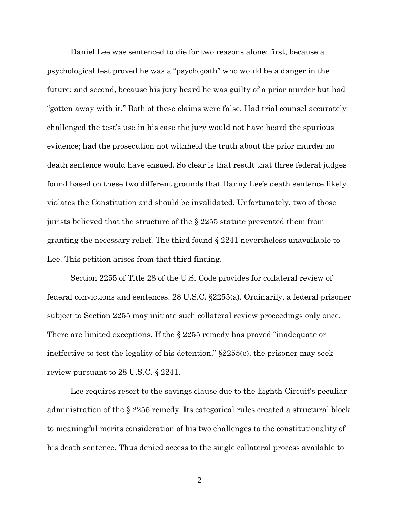Daniel Lee was sentenced to die for two reasons alone: first, because a psychological test proved he was a "psychopath" who would be a danger in the future; and second, because his jury heard he was guilty of a prior murder but had "gotten away with it." Both of these claims were false. Had trial counsel accurately challenged the test's use in his case the jury would not have heard the spurious evidence; had the prosecution not withheld the truth about the prior murder no death sentence would have ensued. So clear is that result that three federal judges found based on these two different grounds that Danny Lee's death sentence likely violates the Constitution and should be invalidated. Unfortunately, two of those jurists believed that the structure of the § 2255 statute prevented them from granting the necessary relief. The third found § 2241 nevertheless unavailable to Lee. This petition arises from that third finding.

Section 2255 of Title 28 of the U.S. Code provides for collateral review of federal convictions and sentences. 28 U.S.C. §2255(a). Ordinarily, a federal prisoner subject to Section 2255 may initiate such collateral review proceedings only once. There are limited exceptions. If the  $\S 2255$  remedy has proved "inadequate or ineffective to test the legality of his detention,"  $\S2255(e)$ , the prisoner may seek review pursuant to 28 U.S.C. § 2241.

Lee requires resort to the savings clause due to the Eighth Circuit's peculiar administration of the § 2255 remedy. Its categorical rules created a structural block to meaningful merits consideration of his two challenges to the constitutionality of his death sentence. Thus denied access to the single collateral process available to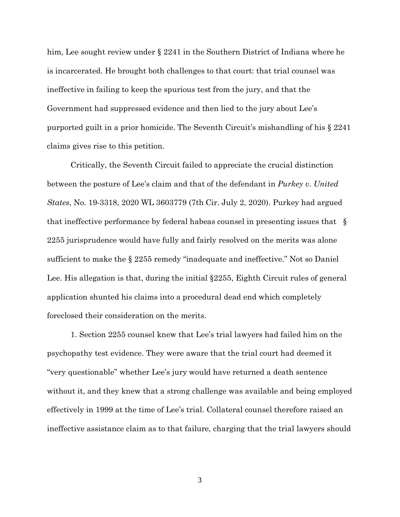him, Lee sought review under § 2241 in the Southern District of Indiana where he is incarcerated. He brought both challenges to that court: that trial counsel was ineffective in failing to keep the spurious test from the jury, and that the Government had suppressed evidence and then lied to the jury about Lee's purported guilt in a prior homicide. The Seventh Circuit's mishandling of his § 2241 claims gives rise to this petition.

Critically, the Seventh Circuit failed to appreciate the crucial distinction between the posture of Lee's claim and that of the defendant in *Purkey v. United States*, No. 19-3318, 2020 WL 3603779 (7th Cir. July 2, 2020). Purkey had argued that ineffective performance by federal habeas counsel in presenting issues that § 2255 jurisprudence would have fully and fairly resolved on the merits was alone sufficient to make the § 2255 remedy "inadequate and ineffective." Not so Daniel Lee. His allegation is that, during the initial §2255, Eighth Circuit rules of general application shunted his claims into a procedural dead end which completely foreclosed their consideration on the merits.

1. Section 2255 counsel knew that Lee's trial lawyers had failed him on the psychopathy test evidence. They were aware that the trial court had deemed it "very questionable" whether Lee's jury would have returned a death sentence without it, and they knew that a strong challenge was available and being employed effectively in 1999 at the time of Lee's trial. Collateral counsel therefore raised an ineffective assistance claim as to that failure, charging that the trial lawyers should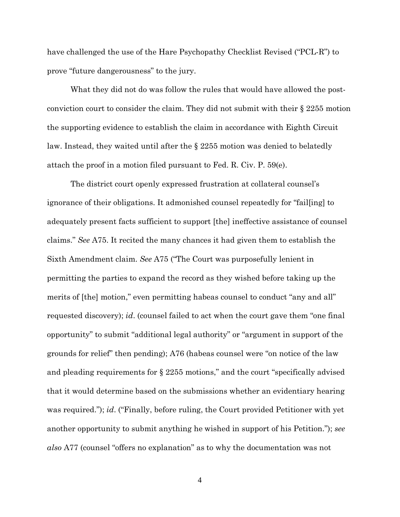have challenged the use of the Hare Psychopathy Checklist Revised ("PCL-R") to prove "future dangerousness" to the jury.

What they did not do was follow the rules that would have allowed the postconviction court to consider the claim. They did not submit with their § 2255 motion the supporting evidence to establish the claim in accordance with Eighth Circuit law. Instead, they waited until after the § 2255 motion was denied to belatedly attach the proof in a motion filed pursuant to Fed. R. Civ. P. 59(e).

The district court openly expressed frustration at collateral counsel's ignorance of their obligations. It admonished counsel repeatedly for "fail[ing] to adequately present facts sufficient to support [the] ineffective assistance of counsel claims." *See* A75. It recited the many chances it had given them to establish the Sixth Amendment claim. *See* A75 ("The Court was purposefully lenient in permitting the parties to expand the record as they wished before taking up the merits of [the] motion," even permitting habeas counsel to conduct "any and all" requested discovery); *id*. (counsel failed to act when the court gave them "one final opportunity" to submit "additional legal authority" or "argument in support of the grounds for relief" then pending); A76 (habeas counsel were "on notice of the law and pleading requirements for § 2255 motions," and the court "specifically advised that it would determine based on the submissions whether an evidentiary hearing was required."); *id*. ("Finally, before ruling, the Court provided Petitioner with yet another opportunity to submit anything he wished in support of his Petition."); *see also* A77 (counsel "offers no explanation" as to why the documentation was not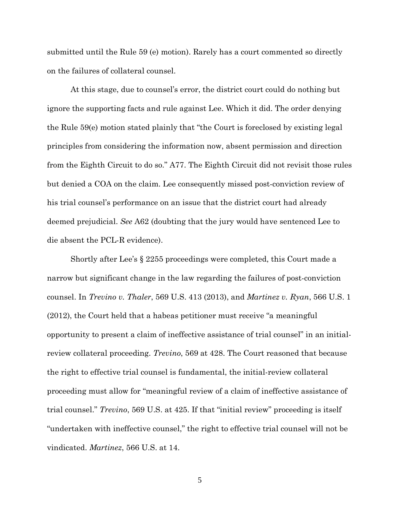submitted until the Rule 59 (e) motion). Rarely has a court commented so directly on the failures of collateral counsel.

At this stage, due to counsel's error, the district court could do nothing but ignore the supporting facts and rule against Lee. Which it did. The order denying the Rule 59(e) motion stated plainly that "the Court is foreclosed by existing legal principles from considering the information now, absent permission and direction from the Eighth Circuit to do so." A77. The Eighth Circuit did not revisit those rules but denied a COA on the claim. Lee consequently missed post-conviction review of his trial counsel's performance on an issue that the district court had already deemed prejudicial. *See* A62 (doubting that the jury would have sentenced Lee to die absent the PCL-R evidence).

Shortly after Lee's § 2255 proceedings were completed, this Court made a narrow but significant change in the law regarding the failures of post-conviction counsel. In *Trevino v. Thaler*, 569 U.S. 413 (2013), and *Martinez v. Ryan*, 566 U.S. 1 (2012), the Court held that a habeas petitioner must receive "a meaningful opportunity to present a claim of ineffective assistance of trial counsel" in an initialreview collateral proceeding. *Trevino*, 569 at 428. The Court reasoned that because the right to effective trial counsel is fundamental, the initial-review collateral proceeding must allow for "meaningful review of a claim of ineffective assistance of trial counsel." *Trevino*, 569 U.S. at 425. If that "initial review" proceeding is itself "undertaken with ineffective counsel," the right to effective trial counsel will not be vindicated. *Martinez*, 566 U.S. at 14.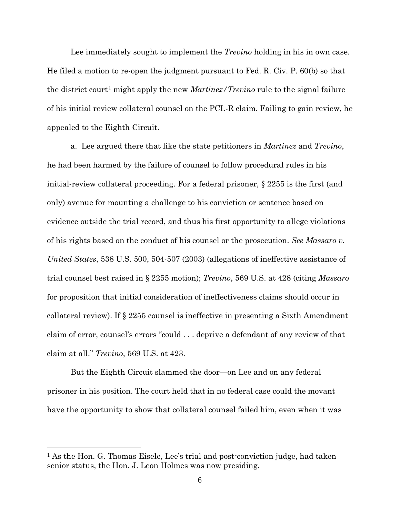Lee immediately sought to implement the *Trevino* holding in his in own case. He filed a motion to re-open the judgment pursuant to Fed. R. Civ. P. 60(b) so that the district court<sup>[1](#page-11-0)</sup> might apply the new *Martinez/Trevino* rule to the signal failure of his initial review collateral counsel on the PCL-R claim. Failing to gain review, he appealed to the Eighth Circuit.

a. Lee argued there that like the state petitioners in *Martinez* and *Trevino*, he had been harmed by the failure of counsel to follow procedural rules in his initial-review collateral proceeding. For a federal prisoner, § 2255 is the first (and only) avenue for mounting a challenge to his conviction or sentence based on evidence outside the trial record, and thus his first opportunity to allege violations of his rights based on the conduct of his counsel or the prosecution. *See Massaro v. United States*, 538 U.S. 500, 504-507 (2003) (allegations of ineffective assistance of trial counsel best raised in § 2255 motion); *Trevino*, 569 U.S. at 428 (citing *Massaro* for proposition that initial consideration of ineffectiveness claims should occur in collateral review). If § 2255 counsel is ineffective in presenting a Sixth Amendment claim of error, counsel's errors "could . . . deprive a defendant of any review of that claim at all." *Trevino*, 569 U.S. at 423.

But the Eighth Circuit slammed the door—on Lee and on any federal prisoner in his position. The court held that in no federal case could the movant have the opportunity to show that collateral counsel failed him, even when it was

 $\overline{a}$ 

<span id="page-11-0"></span><sup>&</sup>lt;sup>1</sup> As the Hon. G. Thomas Eisele, Lee's trial and post-conviction judge, had taken senior status, the Hon. J. Leon Holmes was now presiding.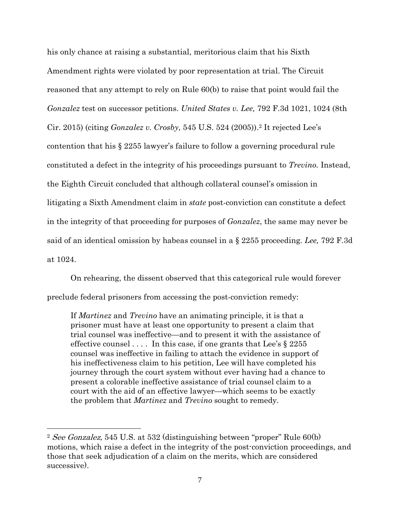his only chance at raising a substantial, meritorious claim that his Sixth Amendment rights were violated by poor representation at trial. The Circuit reasoned that any attempt to rely on Rule 60(b) to raise that point would fail the *Gonzalez* test on successor petitions. *United States v. Lee,* 792 F.3d 1021, 1024 (8th Cir. 2015) (citing *Gonzalez v. Crosby*, 545 U.S. 524 (2005))[.2](#page-12-0) It rejected Lee's contention that his § 2255 lawyer's failure to follow a governing procedural rule constituted a defect in the integrity of his proceedings pursuant to *Trevino.* Instead, the Eighth Circuit concluded that although collateral counsel's omission in litigating a Sixth Amendment claim in *state* post-conviction can constitute a defect in the integrity of that proceeding for purposes of *Gonzalez*, the same may never be said of an identical omission by habeas counsel in a § 2255 proceeding. *Lee,* 792 F.3d at 1024.

On rehearing, the dissent observed that this categorical rule would forever preclude federal prisoners from accessing the post-conviction remedy:

If *Martinez* and *Trevino* have an animating principle, it is that a prisoner must have at least one opportunity to present a claim that trial counsel was ineffective—and to present it with the assistance of effective counsel  $\dots$ . In this case, if one grants that Lee's  $\S 2255$ counsel was ineffective in failing to attach the evidence in support of his ineffectiveness claim to his petition, Lee will have completed his journey through the court system without ever having had a chance to present a colorable ineffective assistance of trial counsel claim to a court with the aid of an effective lawyer—which seems to be exactly the problem that *Martinez* and *Trevino* sought to remedy.

 $\overline{a}$ 

<span id="page-12-0"></span><sup>&</sup>lt;sup>2</sup> See Gonzalez, 545 U.S. at 532 (distinguishing between "proper" Rule  $60(b)$ motions, which raise a defect in the integrity of the post-conviction proceedings, and those that seek adjudication of a claim on the merits, which are considered successive).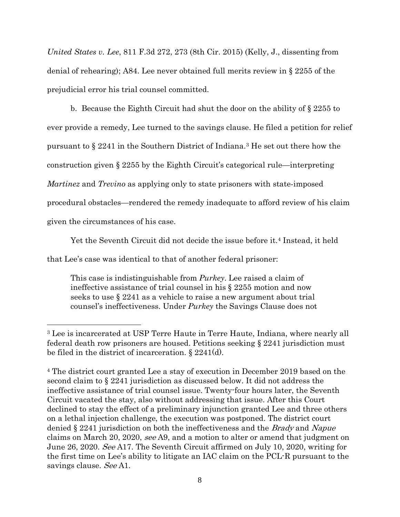*United States v. Lee*, 811 F.3d 272, 273 (8th Cir. 2015) (Kelly, J., dissenting from denial of rehearing); A84. Lee never obtained full merits review in § 2255 of the prejudicial error his trial counsel committed.

b. Because the Eighth Circuit had shut the door on the ability of § 2255 to ever provide a remedy, Lee turned to the savings clause. He filed a petition for relief pursuant to § 2241 in the Southern District of Indiana.[3](#page-13-0) He set out there how the construction given § 2255 by the Eighth Circuit's categorical rule—interpreting *Martinez* and *Trevino* as applying only to state prisoners with state-imposed procedural obstacles—rendered the remedy inadequate to afford review of his claim given the circumstances of his case.

Yet the Seventh Circuit did not decide the issue before it.[4](#page-13-1) Instead, it held

that Lee's case was identical to that of another federal prisoner:

 $\overline{a}$ 

This case is indistinguishable from *Purkey*. Lee raised a claim of ineffective assistance of trial counsel in his § 2255 motion and now seeks to use § 2241 as a vehicle to raise a new argument about trial counsel's ineffectiveness. Under *Purkey* the Savings Clause does not

<span id="page-13-0"></span><sup>3</sup> Lee is incarcerated at USP Terre Haute in Terre Haute, Indiana, where nearly all federal death row prisoners are housed. Petitions seeking § 2241 jurisdiction must be filed in the district of incarceration. § 2241(d).

<span id="page-13-1"></span><sup>4</sup> The district court granted Lee a stay of execution in December 2019 based on the second claim to § 2241 jurisdiction as discussed below. It did not address the ineffective assistance of trial counsel issue. Twenty-four hours later, the Seventh Circuit vacated the stay, also without addressing that issue. After this Court declined to stay the effect of a preliminary injunction granted Lee and three others on a lethal injection challenge, the execution was postponed. The district court denied § 2241 jurisdiction on both the ineffectiveness and the Brady and Napue claims on March 20, 2020, see A9, and a motion to alter or amend that judgment on June 26, 2020. See A17. The Seventh Circuit affirmed on July 10, 2020, writing for the first time on Lee's ability to litigate an IAC claim on the PCL-R pursuant to the savings clause. See A1.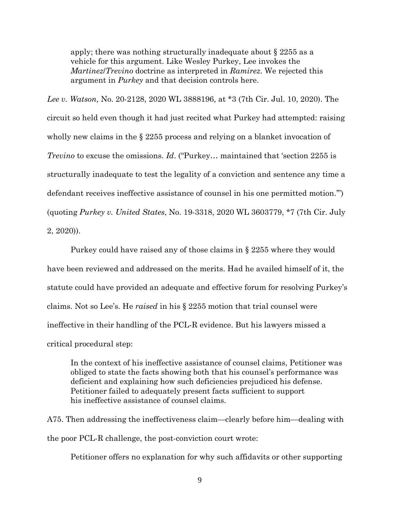apply; there was nothing structurally inadequate about § 2255 as a vehicle for this argument. Like Wesley Purkey, Lee invokes the *Martinez*/*Trevino* doctrine as interpreted in *Ramirez*. We rejected this argument in *Purkey* and that decision controls here.

*Lee v. Watson,* No. 20-2128, 2020 WL 3888196, at \*3 (7th Cir. Jul. 10, 2020). The circuit so held even though it had just recited what Purkey had attempted: raising wholly new claims in the  $\S 2255$  process and relying on a blanket invocation of *Trevino* to excuse the omissions. *Id*. ("Purkey… maintained that 'section 2255 is structurally inadequate to test the legality of a conviction and sentence any time a defendant receives ineffective assistance of counsel in his one permitted motion.'") (quoting *Purkey v. United States*, No. 19-3318, 2020 WL 3603779, \*7 (7th Cir. July 2, 2020)).

Purkey could have raised any of those claims in § 2255 where they would have been reviewed and addressed on the merits. Had he availed himself of it, the statute could have provided an adequate and effective forum for resolving Purkey's claims. Not so Lee's. He *raised* in his § 2255 motion that trial counsel were ineffective in their handling of the PCL-R evidence. But his lawyers missed a critical procedural step:

In the context of his ineffective assistance of counsel claims, Petitioner was obliged to state the facts showing both that his counsel's performance was deficient and explaining how such deficiencies prejudiced his defense. Petitioner failed to adequately present facts sufficient to support his ineffective assistance of counsel claims.

A75. Then addressing the ineffectiveness claim—clearly before him—dealing with the poor PCL-R challenge, the post-conviction court wrote:

Petitioner offers no explanation for why such affidavits or other supporting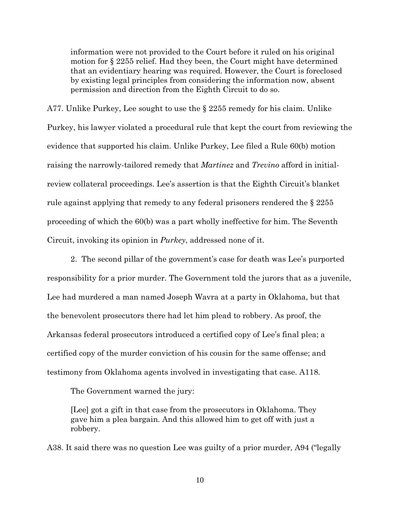information were not provided to the Court before it ruled on his original motion for § 2255 relief. Had they been, the Court might have determined that an evidentiary hearing was required. However, the Court is foreclosed by existing legal principles from considering the information now, absent permission and direction from the Eighth Circuit to do so.

A77. Unlike Purkey, Lee sought to use the  $\S$  2255 remedy for his claim. Unlike Purkey, his lawyer violated a procedural rule that kept the court from reviewing the evidence that supported his claim. Unlike Purkey, Lee filed a Rule 60(b) motion raising the narrowly-tailored remedy that *Martinez* and *Trevino* afford in initialreview collateral proceedings. Lee's assertion is that the Eighth Circuit's blanket rule against applying that remedy to any federal prisoners rendered the § 2255 proceeding of which the 60(b) was a part wholly ineffective for him. The Seventh Circuit, invoking its opinion in *Purkey*, addressed none of it.

2. The second pillar of the government's case for death was Lee's purported responsibility for a prior murder. The Government told the jurors that as a juvenile, Lee had murdered a man named Joseph Wavra at a party in Oklahoma, but that the benevolent prosecutors there had let him plead to robbery. As proof, the Arkansas federal prosecutors introduced a certified copy of Lee's final plea; a certified copy of the murder conviction of his cousin for the same offense; and testimony from Oklahoma agents involved in investigating that case. A118.

The Government warned the jury:

[Lee] got a gift in that case from the prosecutors in Oklahoma. They gave him a plea bargain. And this allowed him to get off with just a robbery.

A38. It said there was no question Lee was guilty of a prior murder, A94 ("legally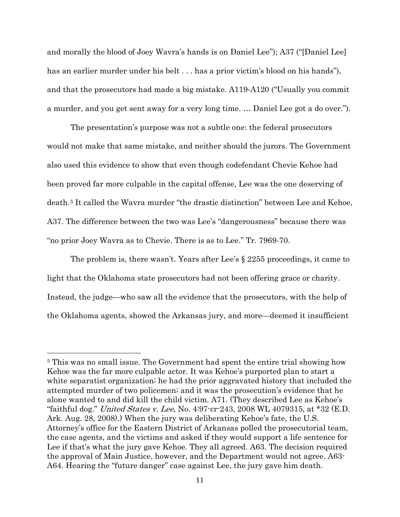and morally the blood of Joey Wavra's hands is on Daniel Lee"); A37 ("[Daniel Lee] has an earlier murder under his belt . . . has a prior victim's blood on his hands"), and that the prosecutors had made a big mistake. A119-A120 ("Usually you commit a murder, and you get sent away for a very long time. … Daniel Lee got a do over.").

The presentation's purpose was not a subtle one: the federal prosecutors would not make that same mistake, and neither should the jurors. The Government also used this evidence to show that even though codefendant Chevie Kehoe had been proved far more culpable in the capital offense, Lee was the one deserving of death.[5](#page-16-0) It called the Wavra murder "the drastic distinction" between Lee and Kehoe, A37. The difference between the two was Lee's "dangerousness" because there was "no prior Joey Wavra as to Chevie. There is as to Lee." Tr. 7969-70.

The problem is, there wasn't. Years after Lee's § 2255 proceedings, it came to light that the Oklahoma state prosecutors had not been offering grace or charity. Instead, the judge—who saw all the evidence that the prosecutors, with the help of the Oklahoma agents, showed the Arkansas jury, and more—deemed it insufficient

 $\overline{a}$ 

<span id="page-16-0"></span><sup>5</sup> This was no small issue. The Government had spent the entire trial showing how Kehoe was the far more culpable actor. It was Kehoe's purported plan to start a white separatist organization; he had the prior aggravated history that included the attempted murder of two policemen; and it was the prosecution's evidence that he alone wanted to and did kill the child victim. A71. (They described Lee as Kehoe's "faithful dog." *United States v. Lee*, No. 4:97-cr-243, 2008 WL 4079315, at  $*32$  (E.D.) Ark. Aug. 28, 2008).) When the jury was deliberating Kehoe's fate, the U.S. Attorney's office for the Eastern District of Arkansas polled the prosecutorial team, the case agents, and the victims and asked if they would support a life sentence for Lee if that's what the jury gave Kehoe. They all agreed. A63. The decision required the approval of Main Justice, however, and the Department would not agree. A63- A64. Hearing the "future danger" case against Lee, the jury gave him death.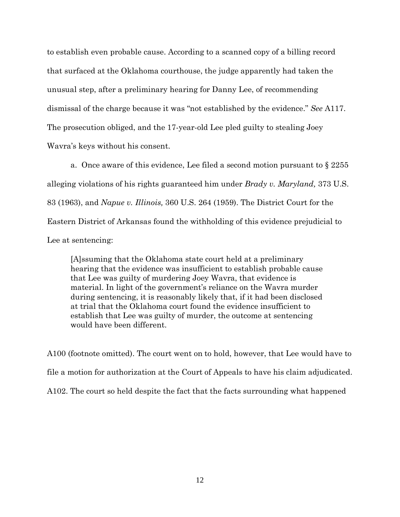to establish even probable cause. According to a scanned copy of a billing record that surfaced at the Oklahoma courthouse, the judge apparently had taken the unusual step, after a preliminary hearing for Danny Lee, of recommending dismissal of the charge because it was "not established by the evidence." *See* A117. The prosecution obliged, and the 17-year-old Lee pled guilty to stealing Joey Wavra's keys without his consent.

a. Once aware of this evidence, Lee filed a second motion pursuant to § 2255 alleging violations of his rights guaranteed him under *Brady v. Maryland,* 373 U.S. 83 (1963), and *Napue v. Illinois,* 360 U.S. 264 (1959). The District Court for the Eastern District of Arkansas found the withholding of this evidence prejudicial to Lee at sentencing:

[A]ssuming that the Oklahoma state court held at a preliminary hearing that the evidence was insufficient to establish probable cause that Lee was guilty of murdering Joey Wavra, that evidence is material. In light of the government's reliance on the Wavra murder during sentencing, it is reasonably likely that, if it had been disclosed at trial that the Oklahoma court found the evidence insufficient to establish that Lee was guilty of murder, the outcome at sentencing would have been different.

A100 (footnote omitted). The court went on to hold, however, that Lee would have to file a motion for authorization at the Court of Appeals to have his claim adjudicated. A102. The court so held despite the fact that the facts surrounding what happened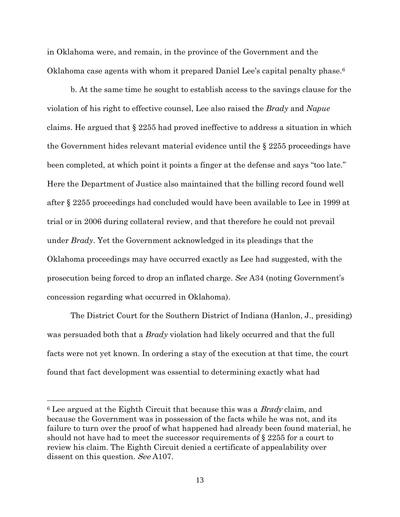in Oklahoma were, and remain, in the province of the Government and the Oklahoma case agents with whom it prepared Daniel Lee's capital penalty phase.[6](#page-18-0)

b. At the same time he sought to establish access to the savings clause for the violation of his right to effective counsel, Lee also raised the *Brady* and *Napue* claims. He argued that § 2255 had proved ineffective to address a situation in which the Government hides relevant material evidence until the § 2255 proceedings have been completed, at which point it points a finger at the defense and says "too late." Here the Department of Justice also maintained that the billing record found well after § 2255 proceedings had concluded would have been available to Lee in 1999 at trial or in 2006 during collateral review, and that therefore he could not prevail under *Brady*. Yet the Government acknowledged in its pleadings that the Oklahoma proceedings may have occurred exactly as Lee had suggested, with the prosecution being forced to drop an inflated charge. *See* A34 (noting Government's concession regarding what occurred in Oklahoma).

The District Court for the Southern District of Indiana (Hanlon, J., presiding) was persuaded both that a *Brady* violation had likely occurred and that the full facts were not yet known. In ordering a stay of the execution at that time, the court found that fact development was essential to determining exactly what had

 $\overline{a}$ 

<span id="page-18-0"></span> $6$  Lee argued at the Eighth Circuit that because this was a *Brady* claim, and because the Government was in possession of the facts while he was not, and its failure to turn over the proof of what happened had already been found material, he should not have had to meet the successor requirements of § 2255 for a court to review his claim. The Eighth Circuit denied a certificate of appealability over dissent on this question. See A107.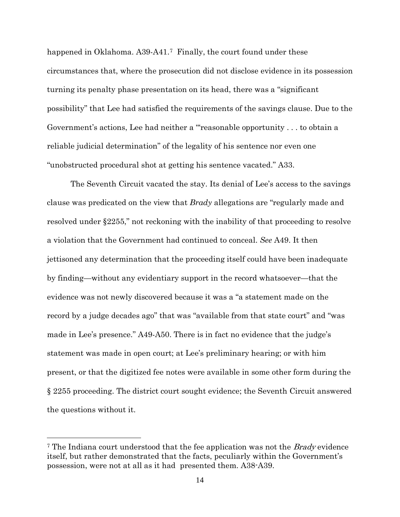happened in Oklahoma. A39-A41.<sup>[7](#page-19-0)</sup> Finally, the court found under these circumstances that, where the prosecution did not disclose evidence in its possession turning its penalty phase presentation on its head, there was a "significant possibility" that Lee had satisfied the requirements of the savings clause. Due to the Government's actions, Lee had neither a "'reasonable opportunity . . . to obtain a reliable judicial determination" of the legality of his sentence nor even one "unobstructed procedural shot at getting his sentence vacated." A33.

The Seventh Circuit vacated the stay. Its denial of Lee's access to the savings clause was predicated on the view that *Brady* allegations are "regularly made and resolved under §2255," not reckoning with the inability of that proceeding to resolve a violation that the Government had continued to conceal. *See* A49. It then jettisoned any determination that the proceeding itself could have been inadequate by finding—without any evidentiary support in the record whatsoever—that the evidence was not newly discovered because it was a "a statement made on the record by a judge decades ago" that was "available from that state court" and "was made in Lee's presence." A49-A50. There is in fact no evidence that the judge's statement was made in open court; at Lee's preliminary hearing; or with him present, or that the digitized fee notes were available in some other form during the § 2255 proceeding. The district court sought evidence; the Seventh Circuit answered the questions without it.

 $\overline{a}$ 

<span id="page-19-0"></span><sup>&</sup>lt;sup>7</sup> The Indiana court understood that the fee application was not the *Brady* evidence itself, but rather demonstrated that the facts, peculiarly within the Government's possession, were not at all as it had presented them. A38-A39.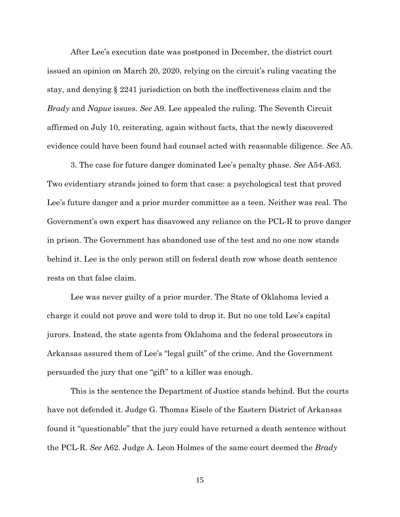After Lee's execution date was postponed in December, the district court issued an opinion on March 20, 2020, relying on the circuit's ruling vacating the stay, and denying § 2241 jurisdiction on both the ineffectiveness claim and the *Brady* and *Napue* issues. *See* A9. Lee appealed the ruling. The Seventh Circuit affirmed on July 10, reiterating, again without facts, that the newly discovered evidence could have been found had counsel acted with reasonable diligence. *See* A5.

3. The case for future danger dominated Lee's penalty phase. *See* A54-A63. Two evidentiary strands joined to form that case: a psychological test that proved Lee's future danger and a prior murder committee as a teen. Neither was real. The Government's own expert has disavowed any reliance on the PCL-R to prove danger in prison. The Government has abandoned use of the test and no one now stands behind it. Lee is the only person still on federal death row whose death sentence rests on that false claim.

Lee was never guilty of a prior murder. The State of Oklahoma levied a charge it could not prove and were told to drop it. But no one told Lee's capital jurors. Instead, the state agents from Oklahoma and the federal prosecutors in Arkansas assured them of Lee's "legal guilt" of the crime. And the Government persuaded the jury that one "gift" to a killer was enough.

This is the sentence the Department of Justice stands behind. But the courts have not defended it. Judge G. Thomas Eisele of the Eastern District of Arkansas found it "questionable" that the jury could have returned a death sentence without the PCL-R. *See* A62. Judge A. Leon Holmes of the same court deemed the *Brady*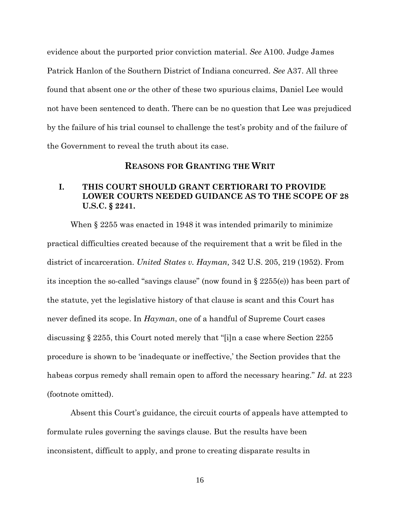evidence about the purported prior conviction material. *See* A100. Judge James Patrick Hanlon of the Southern District of Indiana concurred. *See* A37. All three found that absent one *or* the other of these two spurious claims, Daniel Lee would not have been sentenced to death. There can be no question that Lee was prejudiced by the failure of his trial counsel to challenge the test's probity and of the failure of the Government to reveal the truth about its case.

#### **REASONS FOR GRANTING THE WRIT**

## **I. THIS COURT SHOULD GRANT CERTIORARI TO PROVIDE LOWER COURTS NEEDED GUIDANCE AS TO THE SCOPE OF 28 U.S.C. § 2241.**

When § 2255 was enacted in 1948 it was intended primarily to minimize practical difficulties created because of the requirement that a writ be filed in the district of incarceration. *United States v. Hayman,* 342 U.S. 205, 219 (1952). From its inception the so-called "savings clause" (now found in  $\S 2255(e)$ ) has been part of the statute, yet the legislative history of that clause is scant and this Court has never defined its scope. In *Hayman*, one of a handful of Supreme Court cases discussing § 2255, this Court noted merely that "[i]n a case where Section 2255 procedure is shown to be 'inadequate or ineffective,' the Section provides that the habeas corpus remedy shall remain open to afford the necessary hearing." *Id.* at 223 (footnote omitted).

Absent this Court's guidance, the circuit courts of appeals have attempted to formulate rules governing the savings clause. But the results have been inconsistent, difficult to apply, and prone to creating disparate results in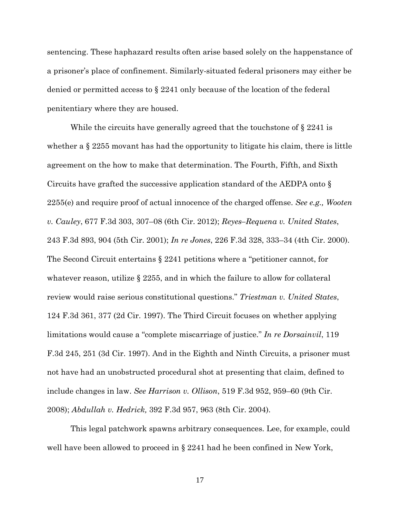sentencing. These haphazard results often arise based solely on the happenstance of a prisoner's place of confinement. Similarly-situated federal prisoners may either be denied or permitted access to § 2241 only because of the location of the federal penitentiary where they are housed.

While the circuits have generally agreed that the touchstone of § 2241 is whether a  $\S 2255$  movant has had the opportunity to litigate his claim, there is little agreement on the how to make that determination. The Fourth, Fifth, and Sixth Circuits have grafted the successive application standard of the AEDPA onto § 2255(e) and require proof of actual innocence of the charged offense. *See e.g., Wooten v. Cauley*, 677 F.3d 303, 307–08 (6th Cir. 2012); *Reyes–Requena v. United States*, 243 F.3d 893, 904 (5th Cir. 2001); *In re Jones*, 226 F.3d 328, 333–34 (4th Cir. 2000). The Second Circuit entertains § 2241 petitions where a "petitioner cannot, for whatever reason, utilize  $\S 2255$ , and in which the failure to allow for collateral review would raise serious constitutional questions." *Triestman v. United States*, 124 F.3d 361, 377 (2d Cir. 1997). The Third Circuit focuses on whether applying limitations would cause a "complete miscarriage of justice." *In re Dorsainvil*, 119 F.3d 245, 251 (3d Cir. 1997). And in the Eighth and Ninth Circuits, a prisoner must not have had an unobstructed procedural shot at presenting that claim, defined to include changes in law. *See Harrison v. Ollison*, 519 F.3d 952, 959–60 (9th Cir. 2008); *Abdullah v. Hedrick,* 392 F.3d 957, 963 (8th Cir. 2004).

This legal patchwork spawns arbitrary consequences. Lee, for example, could well have been allowed to proceed in § 2241 had he been confined in New York,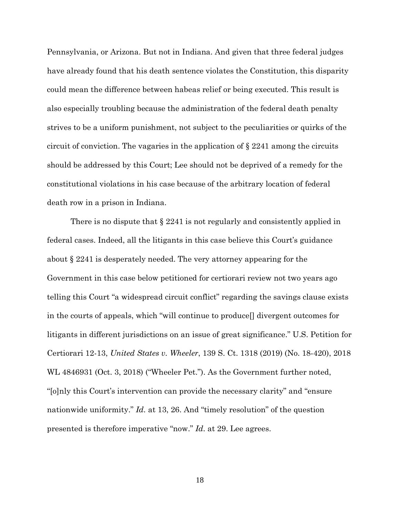Pennsylvania, or Arizona. But not in Indiana. And given that three federal judges have already found that his death sentence violates the Constitution, this disparity could mean the difference between habeas relief or being executed. This result is also especially troubling because the administration of the federal death penalty strives to be a uniform punishment, not subject to the peculiarities or quirks of the circuit of conviction. The vagaries in the application of  $\S 2241$  among the circuits should be addressed by this Court; Lee should not be deprived of a remedy for the constitutional violations in his case because of the arbitrary location of federal death row in a prison in Indiana.

There is no dispute that  $\S 2241$  is not regularly and consistently applied in federal cases. Indeed, all the litigants in this case believe this Court's guidance about § 2241 is desperately needed. The very attorney appearing for the Government in this case below petitioned for certiorari review not two years ago telling this Court "a widespread circuit conflict" regarding the savings clause exists in the courts of appeals, which "will continue to produce[] divergent outcomes for litigants in different jurisdictions on an issue of great significance." U.S. Petition for Certiorari 12-13, *United States v. Wheeler*, 139 S. Ct. 1318 (2019) (No. 18-420), 2018 WL 4846931 (Oct. 3, 2018) ("Wheeler Pet."). As the Government further noted, "[o]nly this Court's intervention can provide the necessary clarity" and "ensure nationwide uniformity." *Id.* at 13, 26. And "timely resolution" of the question presented is therefore imperative "now." *Id.* at 29. Lee agrees.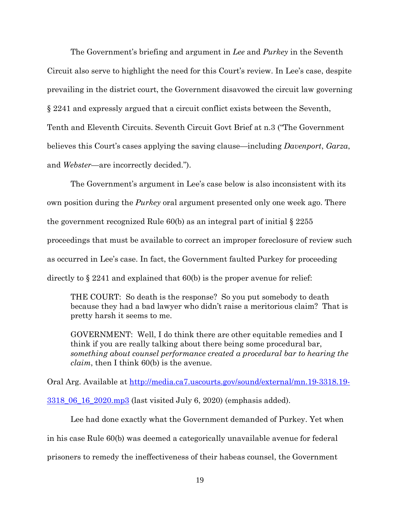The Government's briefing and argument in *Lee* and *Purkey* in the Seventh Circuit also serve to highlight the need for this Court's review. In Lee's case, despite prevailing in the district court, the Government disavowed the circuit law governing § 2241 and expressly argued that a circuit conflict exists between the Seventh, Tenth and Eleventh Circuits. Seventh Circuit Govt Brief at n.3 ("The Government believes this Court's cases applying the saving clause—including *Davenport*, *Garza*, and *Webster*—are incorrectly decided.").

The Government's argument in Lee's case below is also inconsistent with its own position during the *Purkey* oral argument presented only one week ago. There the government recognized Rule  $60(b)$  as an integral part of initial  $\S 2255$ proceedings that must be available to correct an improper foreclosure of review such as occurred in Lee's case. In fact, the Government faulted Purkey for proceeding directly to § 2241 and explained that 60(b) is the proper avenue for relief:

THE COURT: So death is the response? So you put somebody to death because they had a bad lawyer who didn't raise a meritorious claim? That is pretty harsh it seems to me.

GOVERNMENT: Well, I do think there are other equitable remedies and I think if you are really talking about there being some procedural bar, *something about counsel performance created a procedural bar to hearing the claim*, then I think 60(b) is the avenue.

Oral Arg. Available at [http://media.ca7.uscourts.gov/sound/external/mn.19-3318.19-](http://media.ca7.uscourts.gov/sound/external/mn.19-3318.19-3318_06_16_2020.mp3)

[3318\\_06\\_16\\_2020.mp3](http://media.ca7.uscourts.gov/sound/external/mn.19-3318.19-3318_06_16_2020.mp3) (last visited July 6, 2020) (emphasis added).

Lee had done exactly what the Government demanded of Purkey. Yet when in his case Rule 60(b) was deemed a categorically unavailable avenue for federal prisoners to remedy the ineffectiveness of their habeas counsel, the Government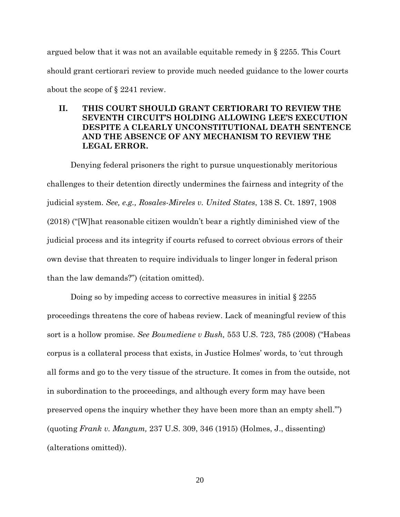argued below that it was not an available equitable remedy in § 2255. This Court should grant certiorari review to provide much needed guidance to the lower courts about the scope of § 2241 review.

## **II. THIS COURT SHOULD GRANT CERTIORARI TO REVIEW THE SEVENTH CIRCUIT'S HOLDING ALLOWING LEE'S EXECUTION DESPITE A CLEARLY UNCONSTITUTIONAL DEATH SENTENCE AND THE ABSENCE OF ANY MECHANISM TO REVIEW THE LEGAL ERROR.**

Denying federal prisoners the right to pursue unquestionably meritorious challenges to their detention directly undermines the fairness and integrity of the judicial system. *See, e.g., Rosales-Mireles v. United States*, 138 S. Ct. 1897, 1908 (2018) ("[W]hat reasonable citizen wouldn't bear a rightly diminished view of the judicial process and its integrity if courts refused to correct obvious errors of their own devise that threaten to require individuals to linger longer in federal prison than the law demands?") (citation omitted).

Doing so by impeding access to corrective measures in initial § 2255 proceedings threatens the core of habeas review. Lack of meaningful review of this sort is a hollow promise. *See Boumediene v Bush,* 553 U.S. 723, 785 (2008) ("Habeas corpus is a collateral process that exists, in Justice Holmes' words, to 'cut through all forms and go to the very tissue of the structure. It comes in from the outside, not in subordination to the proceedings, and although every form may have been preserved opens the inquiry whether they have been more than an empty shell.'") (quoting *Frank v. Mangum,* 237 U.S. 309, 346 (1915) (Holmes, J., dissenting) (alterations omitted)).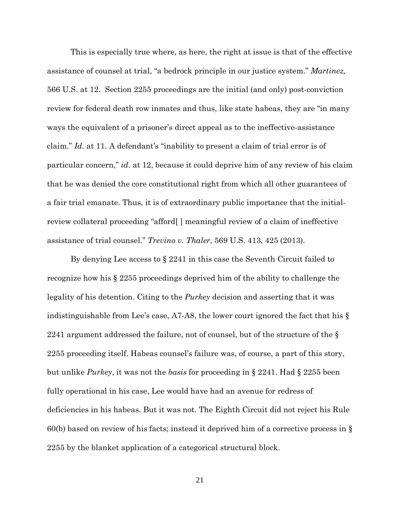This is especially true where, as here, the right at issue is that of the effective assistance of counsel at trial, "a bedrock principle in our justice system." *Martinez,*  566 U.S. at 12. Section 2255 proceedings are the initial (and only) post-conviction review for federal death row inmates and thus, like state habeas, they are "in many ways the equivalent of a prisoner's direct appeal as to the ineffective-assistance claim." *Id.* at 11. A defendant's "inability to present a claim of trial error is of particular concern," *id.* at 12, because it could deprive him of any review of his claim that he was denied the core constitutional right from which all other guarantees of a fair trial emanate. Thus, it is of extraordinary public importance that the initialreview collateral proceeding "afford[ ] meaningful review of a claim of ineffective assistance of trial counsel." *Trevino v. Thaler*, 569 U.S. 413, 425 (2013).

By denying Lee access to § 2241 in this case the Seventh Circuit failed to recognize how his § 2255 proceedings deprived him of the ability to challenge the legality of his detention. Citing to the *Purkey* decision and asserting that it was indistinguishable from Lee's case, A7-A8, the lower court ignored the fact that his § 2241 argument addressed the failure, not of counsel, but of the structure of the  $\S$ 2255 proceeding itself. Habeas counsel's failure was, of course, a part of this story, but unlike *Purkey*, it was not the *basis* for proceeding in § 2241. Had § 2255 been fully operational in his case, Lee would have had an avenue for redress of deficiencies in his habeas. But it was not. The Eighth Circuit did not reject his Rule 60(b) based on review of his facts; instead it deprived him of a corrective process in § 2255 by the blanket application of a categorical structural block.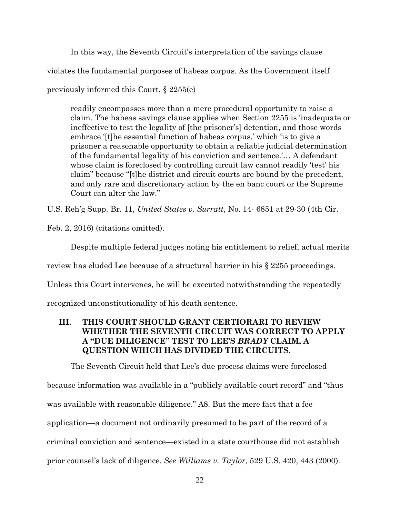In this way, the Seventh Circuit's interpretation of the savings clause

violates the fundamental purposes of habeas corpus. As the Government itself

previously informed this Court, § 2255(e)

readily encompasses more than a mere procedural opportunity to raise a claim. The habeas savings clause applies when Section 2255 is 'inadequate or ineffective to test the legality of [the prisoner's] detention, and those words embrace '[t]he essential function of habeas corpus,' which 'is to give a prisoner a reasonable opportunity to obtain a reliable judicial determination of the fundamental legality of his conviction and sentence.'… A defendant whose claim is foreclosed by controlling circuit law cannot readily 'test' his claim" because "[t]he district and circuit courts are bound by the precedent, and only rare and discretionary action by the en banc court or the Supreme Court can alter the law."

U.S. Reh'g Supp. Br. 11, *United States v. Surratt*, No. 14- 6851 at 29-30 (4th Cir.

Feb. 2, 2016) (citations omitted).

Despite multiple federal judges noting his entitlement to relief, actual merits review has eluded Lee because of a structural barrier in his § 2255 proceedings. Unless this Court intervenes, he will be executed notwithstanding the repeatedly recognized unconstitutionality of his death sentence.

### **III. THIS COURT SHOULD GRANT CERTIORARI TO REVIEW WHETHER THE SEVENTH CIRCUIT WAS CORRECT TO APPLY A "DUE DILIGENCE" TEST TO LEE'S** *BRADY* **CLAIM, A QUESTION WHICH HAS DIVIDED THE CIRCUITS.**

The Seventh Circuit held that Lee's due process claims were foreclosed because information was available in a "publicly available court record" and "thus was available with reasonable diligence." A8. But the mere fact that a fee application—a document not ordinarily presumed to be part of the record of a criminal conviction and sentence—existed in a state courthouse did not establish prior counsel's lack of diligence. *See Williams v. Taylor*, 529 U.S. 420, 443 (2000).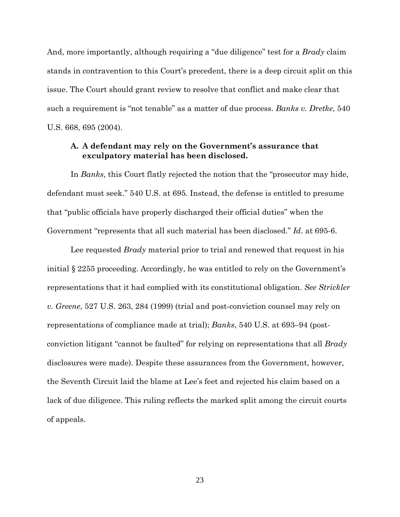And, more importantly, although requiring a "due diligence" test for a *Brady* claim stands in contravention to this Court's precedent, there is a deep circuit split on this issue. The Court should grant review to resolve that conflict and make clear that such a requirement is "not tenable" as a matter of due process. *Banks v. Dretke*, 540 U.S. 668, 695 (2004).

#### **A. A defendant may rely on the Government's assurance that exculpatory material has been disclosed.**

In *Banks*, this Court flatly rejected the notion that the "prosecutor may hide, defendant must seek." 540 U.S. at 695. Instead, the defense is entitled to presume that "public officials have properly discharged their official duties" when the Government "represents that all such material has been disclosed." *Id*. at 695-6.

Lee requested *Brady* material prior to trial and renewed that request in his initial § 2255 proceeding. Accordingly, he was entitled to rely on the Government's representations that it had complied with its constitutional obligation. *See Strickler v. Greene*, 527 U.S. 263, 284 (1999) (trial and post-conviction counsel may rely on representations of compliance made at trial); *Banks*, 540 U.S. at 693–94 (postconviction litigant "cannot be faulted" for relying on representations that all *Brady* disclosures were made). Despite these assurances from the Government, however, the Seventh Circuit laid the blame at Lee's feet and rejected his claim based on a lack of due diligence. This ruling reflects the marked split among the circuit courts of appeals.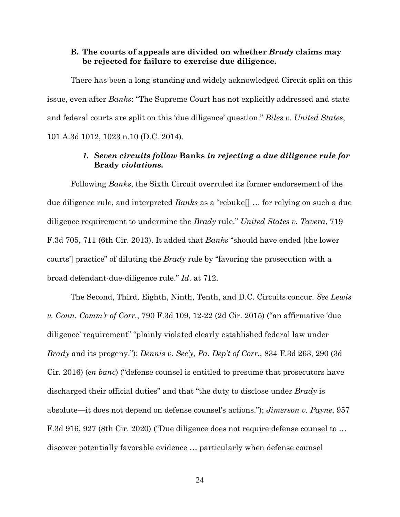#### **B. The courts of appeals are divided on whether** *Brady* **claims may be rejected for failure to exercise due diligence.**

There has been a long-standing and widely acknowledged Circuit split on this issue, even after *Banks*: "The Supreme Court has not explicitly addressed and state and federal courts are split on this 'due diligence' question." *Biles v. United States*, 101 A.3d 1012, 1023 n.10 (D.C. 2014).

#### *1. Seven circuits follow* **Banks** *in rejecting a due diligence rule for*  **Brady** *violations.*

Following *Banks*, the Sixth Circuit overruled its former endorsement of the due diligence rule, and interpreted *Banks* as a "rebuke[] … for relying on such a due diligence requirement to undermine the *Brady* rule." *United States v. Tavera*, 719 F.3d 705, 711 (6th Cir. 2013). It added that *Banks* "should have ended [the lower courts'] practice" of diluting the *Brady* rule by "favoring the prosecution with a broad defendant-due-diligence rule." *Id*. at 712.

The Second, Third, Eighth, Ninth, Tenth, and D.C. Circuits concur. *See Lewis v. Conn. Comm'r of Corr.*, 790 F.3d 109, 12-22 (2d Cir. 2015) ("an affirmative 'due diligence' requirement" "plainly violated clearly established federal law under *Brady* and its progeny."); *Dennis v. Sec'y, Pa. Dep't of Corr.*, 834 F.3d 263, 290 (3d Cir. 2016) (*en banc*) ("defense counsel is entitled to presume that prosecutors have discharged their official duties" and that "the duty to disclose under *Brady* is absolute—it does not depend on defense counsel's actions."); *Jimerson v. Payne*, 957 F.3d 916, 927 (8th Cir. 2020) ("Due diligence does not require defense counsel to … discover potentially favorable evidence … particularly when defense counsel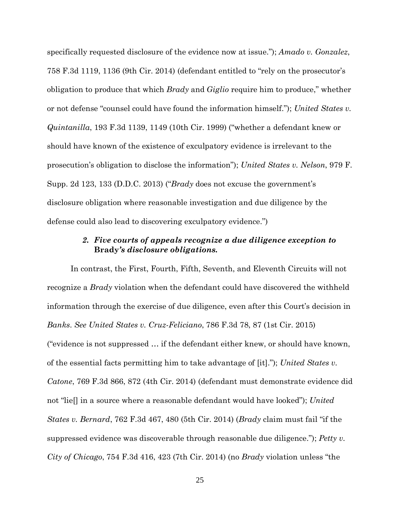specifically requested disclosure of the evidence now at issue."); *Amado v. Gonzalez*, 758 F.3d 1119, 1136 (9th Cir. 2014) (defendant entitled to "rely on the prosecutor's obligation to produce that which *Brady* and *Giglio* require him to produce," whether or not defense "counsel could have found the information himself."); *United States v. Quintanilla*, 193 F.3d 1139, 1149 (10th Cir. 1999) ("whether a defendant knew or should have known of the existence of exculpatory evidence is irrelevant to the prosecution's obligation to disclose the information"); *United States v. Nelson*, 979 F. Supp. 2d 123, 133 (D.D.C. 2013) ("*Brady* does not excuse the government's disclosure obligation where reasonable investigation and due diligence by the defense could also lead to discovering exculpatory evidence.")

## *2. Five courts of appeals recognize a due diligence exception to*  **Brady***'s disclosure obligations.*

In contrast, the First, Fourth, Fifth, Seventh, and Eleventh Circuits will not recognize a *Brady* violation when the defendant could have discovered the withheld information through the exercise of due diligence, even after this Court's decision in *Banks*. *See United States v. Cruz-Feliciano*, 786 F.3d 78, 87 (1st Cir. 2015) ("evidence is not suppressed … if the defendant either knew, or should have known, of the essential facts permitting him to take advantage of [it]."); *United States v. Catone*, 769 F.3d 866, 872 (4th Cir. 2014) (defendant must demonstrate evidence did not "lie[] in a source where a reasonable defendant would have looked"); *United States v. Bernard*, 762 F.3d 467, 480 (5th Cir. 2014) (*Brady* claim must fail "if the suppressed evidence was discoverable through reasonable due diligence."); *Petty v. City of Chicago*, 754 F.3d 416, 423 (7th Cir. 2014) (no *Brady* violation unless "the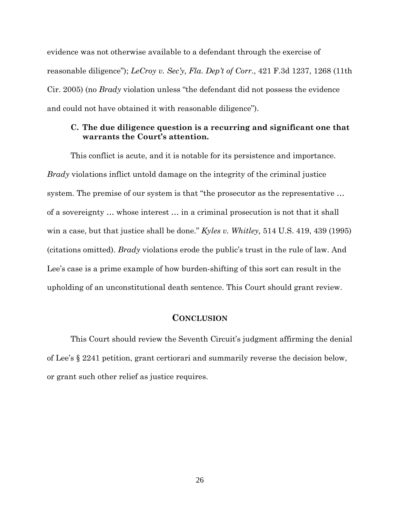evidence was not otherwise available to a defendant through the exercise of reasonable diligence"); *LeCroy v. Sec'y, Fla. Dep't of Corr.*, 421 F.3d 1237, 1268 (11th Cir. 2005) (no *Brady* violation unless "the defendant did not possess the evidence and could not have obtained it with reasonable diligence").

#### **C. The due diligence question is a recurring and significant one that warrants the Court's attention.**

This conflict is acute, and it is notable for its persistence and importance. *Brady* violations inflict untold damage on the integrity of the criminal justice system. The premise of our system is that "the prosecutor as the representative … of a sovereignty … whose interest … in a criminal prosecution is not that it shall win a case, but that justice shall be done." *Kyles v. Whitley,* 514 U.S. 419, 439 (1995) (citations omitted). *Brady* violations erode the public's trust in the rule of law. And Lee's case is a prime example of how burden-shifting of this sort can result in the upholding of an unconstitutional death sentence. This Court should grant review.

#### **CONCLUSION**

This Court should review the Seventh Circuit's judgment affirming the denial of Lee's § 2241 petition, grant certiorari and summarily reverse the decision below, or grant such other relief as justice requires.